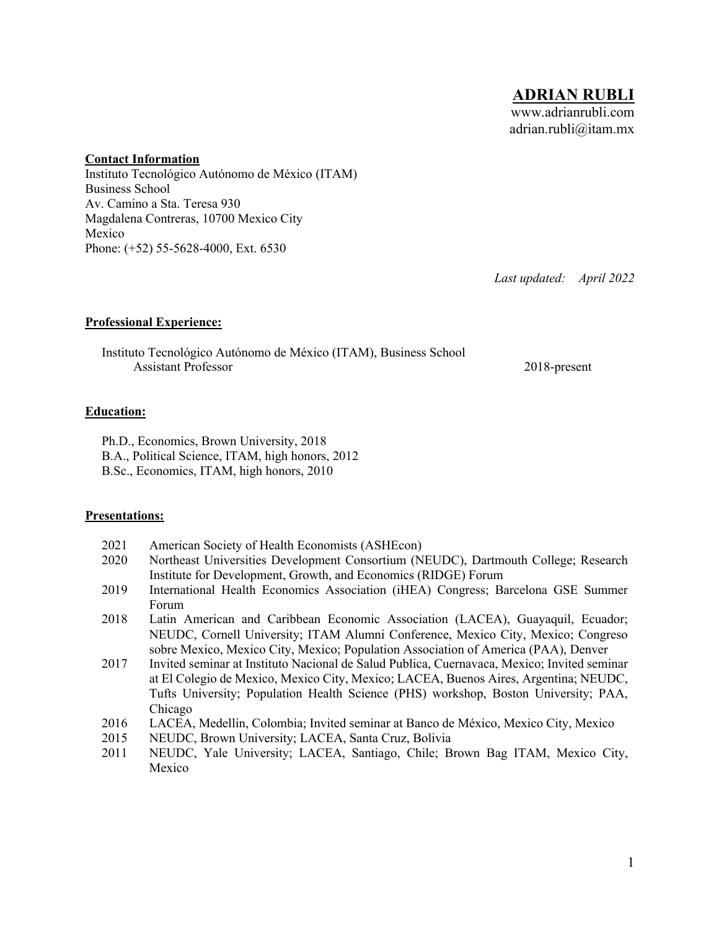#### **Contact Information**

Instituto Tecnológico Autónomo de México (ITAM) Business School Av. Camino a Sta. Teresa 930 Magdalena Contreras, 10700 Mexico City Mexico Phone: (+52) 55-5628-4000, Ext. 6530

*Last updated: April 2022*

# **Professional Experience:**

Instituto Tecnológico Autónomo de México (ITAM), Business School Assistant Professor 2018-present

# **Education:**

Ph.D., Economics, Brown University, 2018

- B.A., Political Science, ITAM, high honors, 2012
- B.Sc., Economics, ITAM, high honors, 2010

# **Presentations:**

- 2021 American Society of Health Economists (ASHEcon)
- 2020 Northeast Universities Development Consortium (NEUDC), Dartmouth College; Research Institute for Development, Growth, and Economics (RIDGE) Forum
- 2019 International Health Economics Association (iHEA) Congress; Barcelona GSE Summer Forum
- 2018 Latin American and Caribbean Economic Association (LACEA), Guayaquil, Ecuador; NEUDC, Cornell University; ITAM Alumni Conference, Mexico City, Mexico; Congreso sobre Mexico, Mexico City, Mexico; Population Association of America (PAA), Denver
- 2017 Invited seminar at Instituto Nacional de Salud Publica, Cuernavaca, Mexico; Invited seminar at El Colegio de Mexico, Mexico City, Mexico; LACEA, Buenos Aires, Argentina; NEUDC, Tufts University; Population Health Science (PHS) workshop, Boston University; PAA, Chicago
- 2016 LACEA, Medellin, Colombia; Invited seminar at Banco de México, Mexico City, Mexico
- 2015 NEUDC, Brown University; LACEA, Santa Cruz, Bolivia
- 2011 NEUDC, Yale University; LACEA, Santiago, Chile; Brown Bag ITAM, Mexico City, Mexico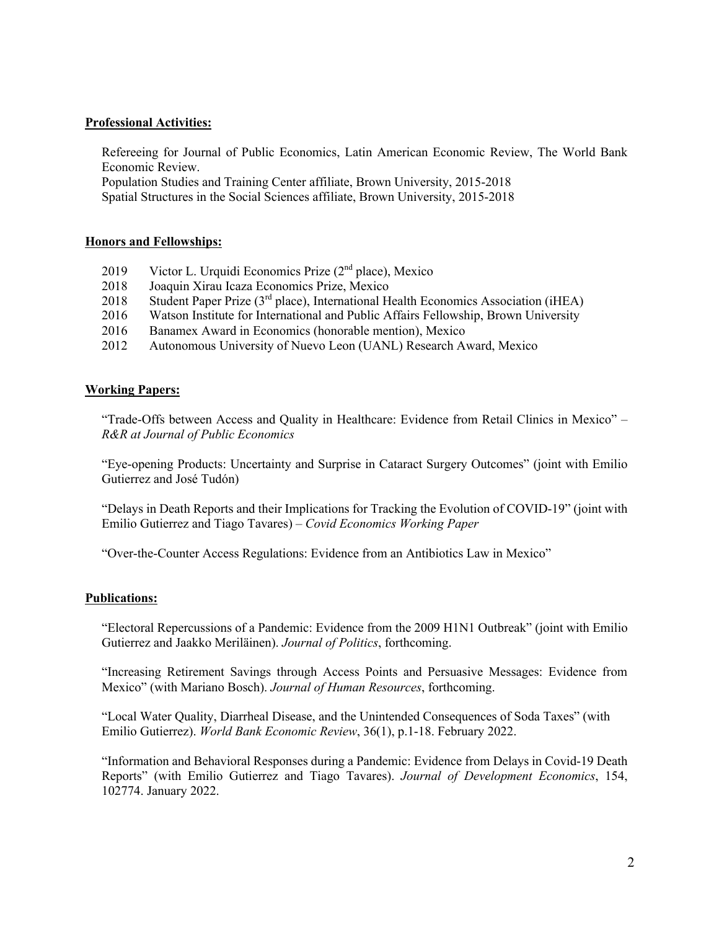### **Professional Activities:**

Refereeing for Journal of Public Economics, Latin American Economic Review, The World Bank Economic Review.

Population Studies and Training Center affiliate, Brown University, 2015-2018 Spatial Structures in the Social Sciences affiliate, Brown University, 2015-2018

### **Honors and Fellowships:**

- 2019 Victor L. Urquidi Economics Prize (2<sup>nd</sup> place), Mexico
- 2018 Joaquin Xirau Icaza Economics Prize, Mexico
- 2018 Student Paper Prize (3<sup>rd</sup> place), International Health Economics Association (iHEA)
- 2016 Watson Institute for International and Public Affairs Fellowship, Brown University
- 2016 Banamex Award in Economics (honorable mention), Mexico
- 2012 Autonomous University of Nuevo Leon (UANL) Research Award, Mexico

### **Working Papers:**

"Trade-Offs between Access and Quality in Healthcare: Evidence from Retail Clinics in Mexico" – *R&R at Journal of Public Economics*

"Eye-opening Products: Uncertainty and Surprise in Cataract Surgery Outcomes" (joint with Emilio Gutierrez and José Tudón)

"Delays in Death Reports and their Implications for Tracking the Evolution of COVID-19" (joint with Emilio Gutierrez and Tiago Tavares) – *Covid Economics Working Paper*

"Over-the-Counter Access Regulations: Evidence from an Antibiotics Law in Mexico"

#### **Publications:**

"Electoral Repercussions of a Pandemic: Evidence from the 2009 H1N1 Outbreak" (joint with Emilio Gutierrez and Jaakko Meriläinen). *Journal of Politics*, forthcoming.

"Increasing Retirement Savings through Access Points and Persuasive Messages: Evidence from Mexico" (with Mariano Bosch). *Journal of Human Resources*, forthcoming.

"Local Water Quality, Diarrheal Disease, and the Unintended Consequences of Soda Taxes" (with Emilio Gutierrez). *World Bank Economic Review*, 36(1), p.1-18. February 2022.

"Information and Behavioral Responses during a Pandemic: Evidence from Delays in Covid-19 Death Reports" (with Emilio Gutierrez and Tiago Tavares). *Journal of Development Economics*, 154, 102774. January 2022.